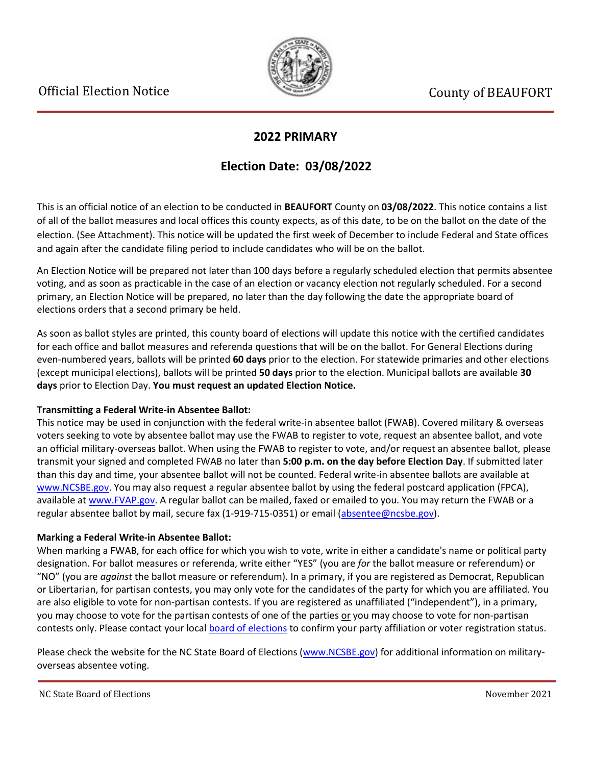

### **2022 PRIMARY**

## **Election Date: 03/08/2022**

This is an official notice of an election to be conducted in **BEAUFORT** County on **03/08/2022**. This notice contains a list of all of the ballot measures and local offices this county expects, as of this date, to be on the ballot on the date of the election. (See Attachment). This notice will be updated the first week of December to include Federal and State offices and again after the candidate filing period to include candidates who will be on the ballot.

An Election Notice will be prepared not later than 100 days before a regularly scheduled election that permits absentee voting, and as soon as practicable in the case of an election or vacancy election not regularly scheduled. For a second primary, an Election Notice will be prepared, no later than the day following the date the appropriate board of elections orders that a second primary be held.

As soon as ballot styles are printed, this county board of elections will update this notice with the certified candidates for each office and ballot measures and referenda questions that will be on the ballot. For General Elections during even-numbered years, ballots will be printed **60 days** prior to the election. For statewide primaries and other elections (except municipal elections), ballots will be printed **50 days** prior to the election. Municipal ballots are available **30 days** prior to Election Day. **You must request an updated Election Notice.**

#### **Transmitting a Federal Write-in Absentee Ballot:**

This notice may be used in conjunction with the federal write-in absentee ballot (FWAB). Covered military & overseas voters seeking to vote by absentee ballot may use the FWAB to register to vote, request an absentee ballot, and vote an official military-overseas ballot. When using the FWAB to register to vote, and/or request an absentee ballot, please transmit your signed and completed FWAB no later than **5:00 p.m. on the day before Election Day**. If submitted later than this day and time, your absentee ballot will not be counted. Federal write-in absentee ballots are available at [www.NCSBE.gov.](https://www.ncsbe.gov/) You may also request a regular absentee ballot by using the federal postcard application (FPCA), available a[t www.FVAP.gov.](https://www.fvap.gov/) A regular ballot can be mailed, faxed or emailed to you. You may return the FWAB or a regular absentee ballot by mail, secure fax (1-919-715-0351) or email (absentee@ncsbe.gov).

#### **Marking a Federal Write-in Absentee Ballot:**

When marking a FWAB, for each office for which you wish to vote, write in either a candidate's name or political party designation. For ballot measures or referenda, write either "YES" (you are *for* the ballot measure or referendum) or "NO" (you are *against* the ballot measure or referendum). In a primary, if you are registered as Democrat, Republican or Libertarian, for partisan contests, you may only vote for the candidates of the party for which you are affiliated. You are also eligible to vote for non-partisan contests. If you are registered as unaffiliated ("independent"), in a primary, you may choose to vote for the partisan contests of one of the parties or you may choose to vote for non-partisan contests only. Please contact your local [board of elections](https://vt.ncsbe.gov/BOEInfo/) to confirm your party affiliation or voter registration status.

Please check the website for the NC State Board of Elections [\(www.NCSBE.gov\)](https://www.ncsbe.gov/) for additional information on militaryoverseas absentee voting.